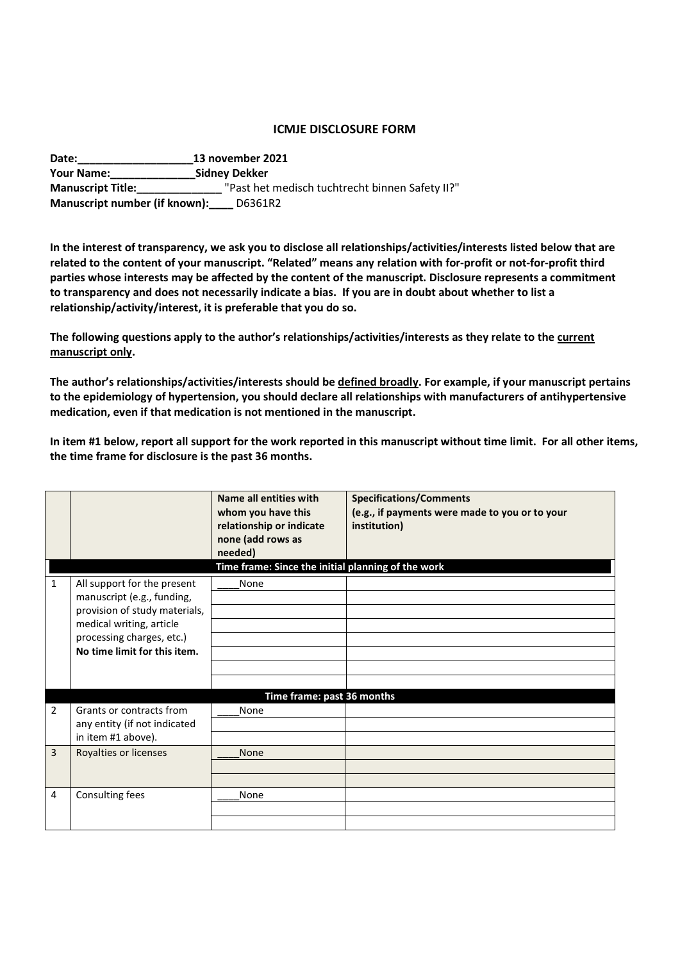## **ICMJE DISCLOSURE FORM**

**Date:\_\_\_\_\_\_\_\_\_\_\_\_\_\_\_\_\_\_\_13 november 2021 Your Name:\_\_\_\_\_\_\_\_\_\_\_\_\_\_Sidney Dekker Manuscript Title:\_\_\_\_\_\_\_\_\_\_\_\_\_\_** "Past het medisch tuchtrecht binnen Safety II?" **Manuscript number (if known):\_\_\_\_** D6361R2

**In the interest of transparency, we ask you to disclose all relationships/activities/interests listed below that are related to the content of your manuscript. "Related" means any relation with for-profit or not-for-profit third parties whose interests may be affected by the content of the manuscript. Disclosure represents a commitment to transparency and does not necessarily indicate a bias. If you are in doubt about whether to list a relationship/activity/interest, it is preferable that you do so.** 

**The following questions apply to the author's relationships/activities/interests as they relate to the current manuscript only.** 

**The author's relationships/activities/interests should be defined broadly. For example, if your manuscript pertains to the epidemiology of hypertension, you should declare all relationships with manufacturers of antihypertensive medication, even if that medication is not mentioned in the manuscript.** 

**In item #1 below, report all support for the work reported in this manuscript without time limit. For all other items, the time frame for disclosure is the past 36 months.** 

|                                                    |                                                                                                                                                                                     | Name all entities with<br>whom you have this<br>relationship or indicate<br>none (add rows as<br>needed) | <b>Specifications/Comments</b><br>(e.g., if payments were made to you or to your<br>institution) |  |
|----------------------------------------------------|-------------------------------------------------------------------------------------------------------------------------------------------------------------------------------------|----------------------------------------------------------------------------------------------------------|--------------------------------------------------------------------------------------------------|--|
| Time frame: Since the initial planning of the work |                                                                                                                                                                                     |                                                                                                          |                                                                                                  |  |
| $\mathbf{1}$                                       | All support for the present<br>manuscript (e.g., funding,<br>provision of study materials,<br>medical writing, article<br>processing charges, etc.)<br>No time limit for this item. | None                                                                                                     |                                                                                                  |  |
| Time frame: past 36 months                         |                                                                                                                                                                                     |                                                                                                          |                                                                                                  |  |
| $\overline{2}$                                     | Grants or contracts from<br>any entity (if not indicated<br>in item #1 above).                                                                                                      | None                                                                                                     |                                                                                                  |  |
| 3                                                  | Royalties or licenses                                                                                                                                                               | <b>None</b>                                                                                              |                                                                                                  |  |
| 4                                                  | Consulting fees                                                                                                                                                                     | None                                                                                                     |                                                                                                  |  |